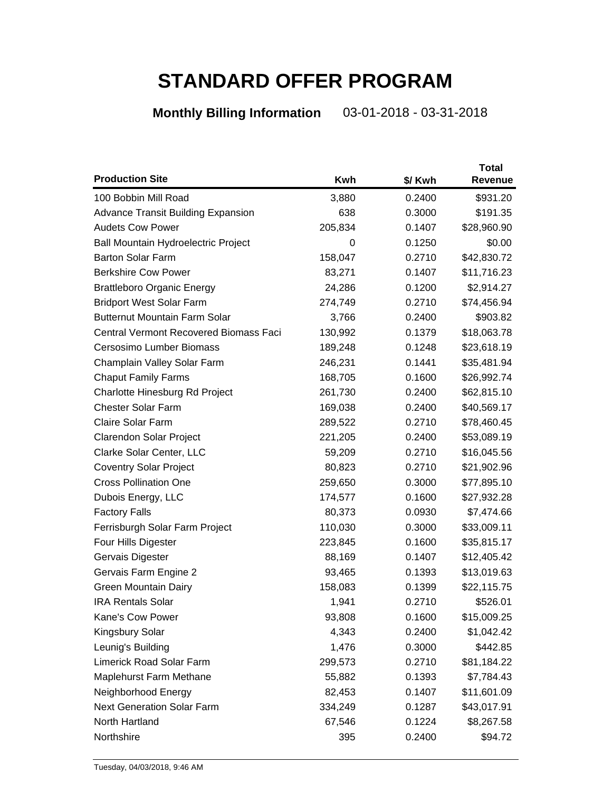## **STANDARD OFFER PROGRAM**

## **Monthly Billing Information** 03-01-2018 - 03-31-2018

| <b>Production Site</b>                        |         |         | <b>Total</b> |
|-----------------------------------------------|---------|---------|--------------|
|                                               | Kwh     | \$/ Kwh | Revenue      |
| 100 Bobbin Mill Road                          | 3,880   | 0.2400  | \$931.20     |
| <b>Advance Transit Building Expansion</b>     | 638     | 0.3000  | \$191.35     |
| <b>Audets Cow Power</b>                       | 205,834 | 0.1407  | \$28,960.90  |
| <b>Ball Mountain Hydroelectric Project</b>    | 0       | 0.1250  | \$0.00       |
| <b>Barton Solar Farm</b>                      | 158,047 | 0.2710  | \$42,830.72  |
| <b>Berkshire Cow Power</b>                    | 83,271  | 0.1407  | \$11,716.23  |
| <b>Brattleboro Organic Energy</b>             | 24,286  | 0.1200  | \$2,914.27   |
| <b>Bridport West Solar Farm</b>               | 274,749 | 0.2710  | \$74,456.94  |
| <b>Butternut Mountain Farm Solar</b>          | 3,766   | 0.2400  | \$903.82     |
| <b>Central Vermont Recovered Biomass Faci</b> | 130,992 | 0.1379  | \$18,063.78  |
| Cersosimo Lumber Biomass                      | 189,248 | 0.1248  | \$23,618.19  |
| Champlain Valley Solar Farm                   | 246,231 | 0.1441  | \$35,481.94  |
| <b>Chaput Family Farms</b>                    | 168,705 | 0.1600  | \$26,992.74  |
| Charlotte Hinesburg Rd Project                | 261,730 | 0.2400  | \$62,815.10  |
| <b>Chester Solar Farm</b>                     | 169,038 | 0.2400  | \$40,569.17  |
| <b>Claire Solar Farm</b>                      | 289,522 | 0.2710  | \$78,460.45  |
| Clarendon Solar Project                       | 221,205 | 0.2400  | \$53,089.19  |
| Clarke Solar Center, LLC                      | 59,209  | 0.2710  | \$16,045.56  |
| <b>Coventry Solar Project</b>                 | 80,823  | 0.2710  | \$21,902.96  |
| <b>Cross Pollination One</b>                  | 259,650 | 0.3000  | \$77,895.10  |
| Dubois Energy, LLC                            | 174,577 | 0.1600  | \$27,932.28  |
| <b>Factory Falls</b>                          | 80,373  | 0.0930  | \$7,474.66   |
| Ferrisburgh Solar Farm Project                | 110,030 | 0.3000  | \$33,009.11  |
| Four Hills Digester                           | 223,845 | 0.1600  | \$35,815.17  |
| Gervais Digester                              | 88,169  | 0.1407  | \$12,405.42  |
| Gervais Farm Engine 2                         | 93,465  | 0.1393  | \$13,019.63  |
| <b>Green Mountain Dairy</b>                   | 158,083 | 0.1399  | \$22,115.75  |
| <b>IRA Rentals Solar</b>                      | 1,941   | 0.2710  | \$526.01     |
| Kane's Cow Power                              | 93,808  | 0.1600  | \$15,009.25  |
| Kingsbury Solar                               | 4,343   | 0.2400  | \$1,042.42   |
| Leunig's Building                             | 1,476   | 0.3000  | \$442.85     |
| <b>Limerick Road Solar Farm</b>               | 299,573 | 0.2710  | \$81,184.22  |
| <b>Maplehurst Farm Methane</b>                | 55,882  | 0.1393  | \$7,784.43   |
| Neighborhood Energy                           | 82,453  | 0.1407  | \$11,601.09  |
| <b>Next Generation Solar Farm</b>             | 334,249 | 0.1287  | \$43,017.91  |
| North Hartland                                | 67,546  | 0.1224  | \$8,267.58   |
| Northshire                                    | 395     | 0.2400  | \$94.72      |
|                                               |         |         |              |